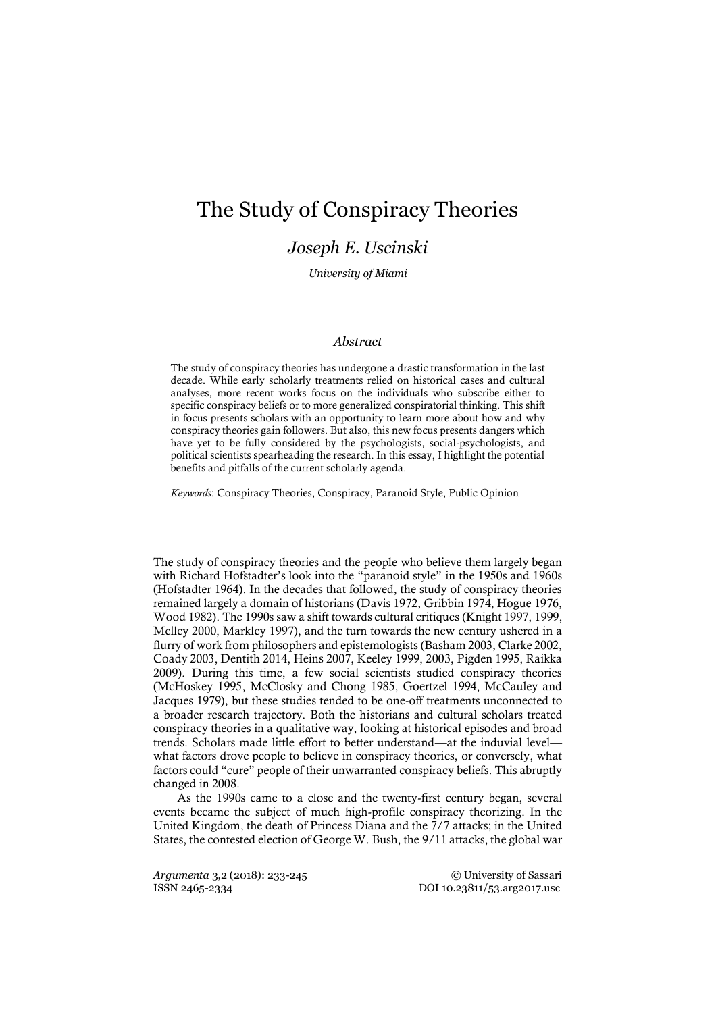# The Study of Conspiracy Theories

## *Joseph E. Uscinski*

*University of Miami*

#### *Abstract*

The study of conspiracy theories has undergone a drastic transformation in the last decade. While early scholarly treatments relied on historical cases and cultural analyses, more recent works focus on the individuals who subscribe either to specific conspiracy beliefs or to more generalized conspiratorial thinking. This shift in focus presents scholars with an opportunity to learn more about how and why conspiracy theories gain followers. But also, this new focus presents dangers which have yet to be fully considered by the psychologists, social-psychologists, and political scientists spearheading the research. In this essay, I highlight the potential benefits and pitfalls of the current scholarly agenda.

*Keywords*: Conspiracy Theories, Conspiracy, Paranoid Style, Public Opinion

The study of conspiracy theories and the people who believe them largely began with Richard Hofstadter's look into the "paranoid style" in the 1950s and 1960s (Hofstadter 1964). In the decades that followed, the study of conspiracy theories remained largely a domain of historians (Davis 1972, Gribbin 1974, Hogue 1976, Wood 1982). The 1990s saw a shift towards cultural critiques (Knight 1997, 1999, Melley 2000, Markley 1997), and the turn towards the new century ushered in a flurry of work from philosophers and epistemologists (Basham 2003, Clarke 2002, Coady 2003, Dentith 2014, Heins 2007, Keeley 1999, 2003, Pigden 1995, Raikka 2009). During this time, a few social scientists studied conspiracy theories (McHoskey 1995, McClosky and Chong 1985, Goertzel 1994, McCauley and Jacques 1979), but these studies tended to be one-off treatments unconnected to a broader research trajectory. Both the historians and cultural scholars treated conspiracy theories in a qualitative way, looking at historical episodes and broad trends. Scholars made little effort to better understand—at the induvial level what factors drove people to believe in conspiracy theories, or conversely, what factors could "cure" people of their unwarranted conspiracy beliefs. This abruptly changed in 2008.

As the 1990s came to a close and the twenty-first century began, several events became the subject of much high-profile conspiracy theorizing. In the United Kingdom, the death of Princess Diana and the 7/7 attacks; in the United States, the contested election of George W. Bush, the 9/11 attacks, the global war

ISSN 2465-2334 DOI 10.23811/53.arg2017.usc

*Argumenta* 3,2 (2018): 233-245 © University of Sassari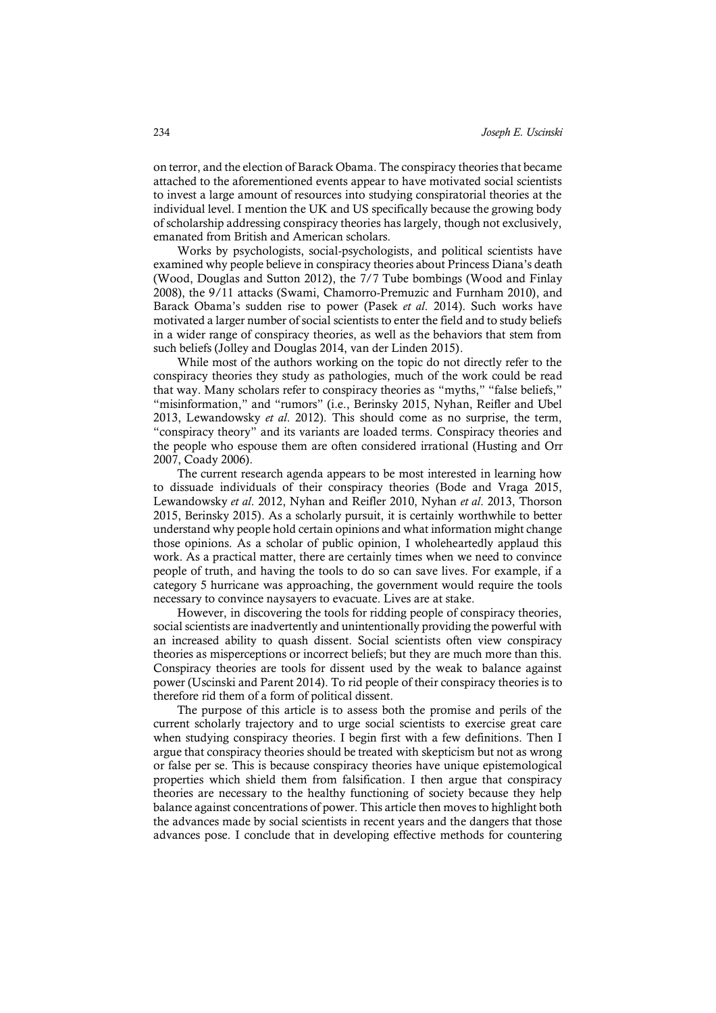on terror, and the election of Barack Obama. The conspiracy theories that became attached to the aforementioned events appear to have motivated social scientists to invest a large amount of resources into studying conspiratorial theories at the individual level. I mention the UK and US specifically because the growing body of scholarship addressing conspiracy theories has largely, though not exclusively, emanated from British and American scholars.

Works by psychologists, social-psychologists, and political scientists have examined why people believe in conspiracy theories about Princess Diana's death (Wood, Douglas and Sutton 2012), the 7/7 Tube bombings (Wood and Finlay 2008), the 9/11 attacks (Swami, Chamorro-Premuzic and Furnham 2010), and Barack Obama's sudden rise to power (Pasek *et al*. 2014). Such works have motivated a larger number of social scientists to enter the field and to study beliefs in a wider range of conspiracy theories, as well as the behaviors that stem from such beliefs (Jolley and Douglas 2014, van der Linden 2015).

While most of the authors working on the topic do not directly refer to the conspiracy theories they study as pathologies, much of the work could be read that way. Many scholars refer to conspiracy theories as "myths," "false beliefs," "misinformation," and "rumors" (i.e., Berinsky 2015, Nyhan, Reifler and Ubel 2013, Lewandowsky *et al*. 2012). This should come as no surprise, the term, "conspiracy theory" and its variants are loaded terms. Conspiracy theories and the people who espouse them are often considered irrational (Husting and Orr 2007, Coady 2006).

The current research agenda appears to be most interested in learning how to dissuade individuals of their conspiracy theories (Bode and Vraga 2015, Lewandowsky *et al*. 2012, Nyhan and Reifler 2010, Nyhan *et al*. 2013, Thorson 2015, Berinsky 2015). As a scholarly pursuit, it is certainly worthwhile to better understand why people hold certain opinions and what information might change those opinions. As a scholar of public opinion, I wholeheartedly applaud this work. As a practical matter, there are certainly times when we need to convince people of truth, and having the tools to do so can save lives. For example, if a category 5 hurricane was approaching, the government would require the tools necessary to convince naysayers to evacuate. Lives are at stake.

However, in discovering the tools for ridding people of conspiracy theories, social scientists are inadvertently and unintentionally providing the powerful with an increased ability to quash dissent. Social scientists often view conspiracy theories as misperceptions or incorrect beliefs; but they are much more than this. Conspiracy theories are tools for dissent used by the weak to balance against power (Uscinski and Parent 2014). To rid people of their conspiracy theories is to therefore rid them of a form of political dissent.

The purpose of this article is to assess both the promise and perils of the current scholarly trajectory and to urge social scientists to exercise great care when studying conspiracy theories. I begin first with a few definitions. Then I argue that conspiracy theories should be treated with skepticism but not as wrong or false per se. This is because conspiracy theories have unique epistemological properties which shield them from falsification. I then argue that conspiracy theories are necessary to the healthy functioning of society because they help balance against concentrations of power. This article then moves to highlight both the advances made by social scientists in recent years and the dangers that those advances pose. I conclude that in developing effective methods for countering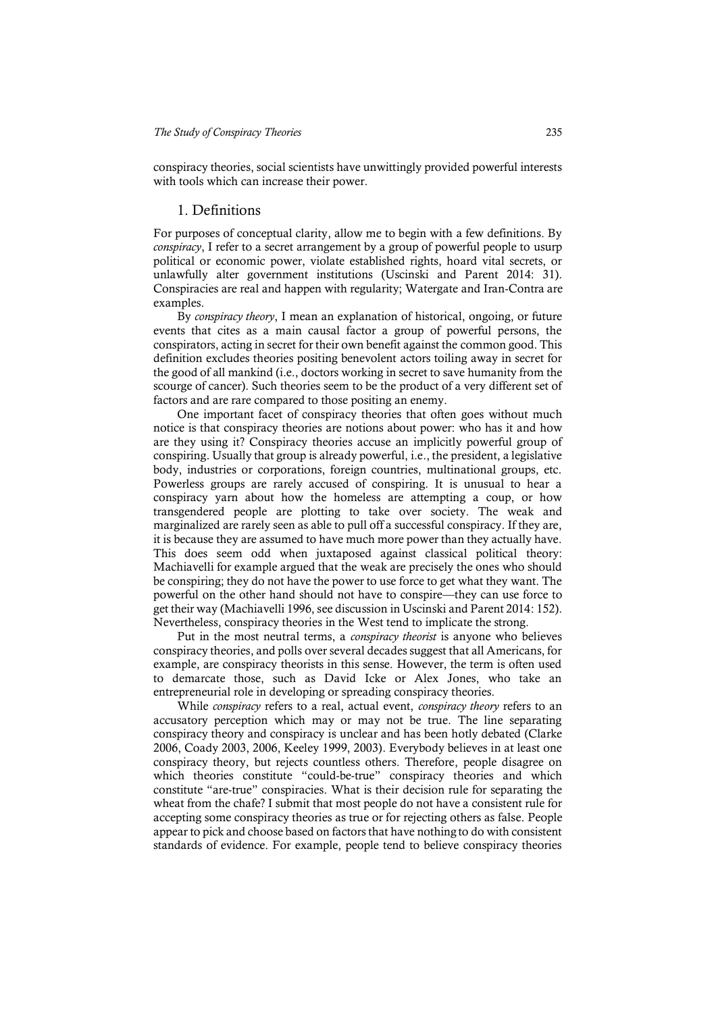conspiracy theories, social scientists have unwittingly provided powerful interests with tools which can increase their power.

#### 1. Definitions

For purposes of conceptual clarity, allow me to begin with a few definitions. By *conspiracy*, I refer to a secret arrangement by a group of powerful people to usurp political or economic power, violate established rights, hoard vital secrets, or unlawfully alter government institutions (Uscinski and Parent 2014: 31). Conspiracies are real and happen with regularity; Watergate and Iran-Contra are examples.

By *conspiracy theory*, I mean an explanation of historical, ongoing, or future events that cites as a main causal factor a group of powerful persons, the conspirators, acting in secret for their own benefit against the common good. This definition excludes theories positing benevolent actors toiling away in secret for the good of all mankind (i.e., doctors working in secret to save humanity from the scourge of cancer). Such theories seem to be the product of a very different set of factors and are rare compared to those positing an enemy.

One important facet of conspiracy theories that often goes without much notice is that conspiracy theories are notions about power: who has it and how are they using it? Conspiracy theories accuse an implicitly powerful group of conspiring. Usually that group is already powerful, i.e., the president, a legislative body, industries or corporations, foreign countries, multinational groups, etc. Powerless groups are rarely accused of conspiring. It is unusual to hear a conspiracy yarn about how the homeless are attempting a coup, or how transgendered people are plotting to take over society. The weak and marginalized are rarely seen as able to pull off a successful conspiracy. If they are, it is because they are assumed to have much more power than they actually have. This does seem odd when juxtaposed against classical political theory: Machiavelli for example argued that the weak are precisely the ones who should be conspiring; they do not have the power to use force to get what they want. The powerful on the other hand should not have to conspire—they can use force to get their way (Machiavelli 1996, see discussion in Uscinski and Parent 2014: 152). Nevertheless, conspiracy theories in the West tend to implicate the strong.

Put in the most neutral terms, a *conspiracy theorist* is anyone who believes conspiracy theories, and polls over several decades suggest that all Americans, for example, are conspiracy theorists in this sense. However, the term is often used to demarcate those, such as David Icke or Alex Jones, who take an entrepreneurial role in developing or spreading conspiracy theories.

While *conspiracy* refers to a real, actual event, *conspiracy theory* refers to an accusatory perception which may or may not be true. The line separating conspiracy theory and conspiracy is unclear and has been hotly debated (Clarke 2006, Coady 2003, 2006, Keeley 1999, 2003). Everybody believes in at least one conspiracy theory, but rejects countless others. Therefore, people disagree on which theories constitute "could-be-true" conspiracy theories and which constitute "are-true" conspiracies. What is their decision rule for separating the wheat from the chafe? I submit that most people do not have a consistent rule for accepting some conspiracy theories as true or for rejecting others as false. People appear to pick and choose based on factors that have nothing to do with consistent standards of evidence. For example, people tend to believe conspiracy theories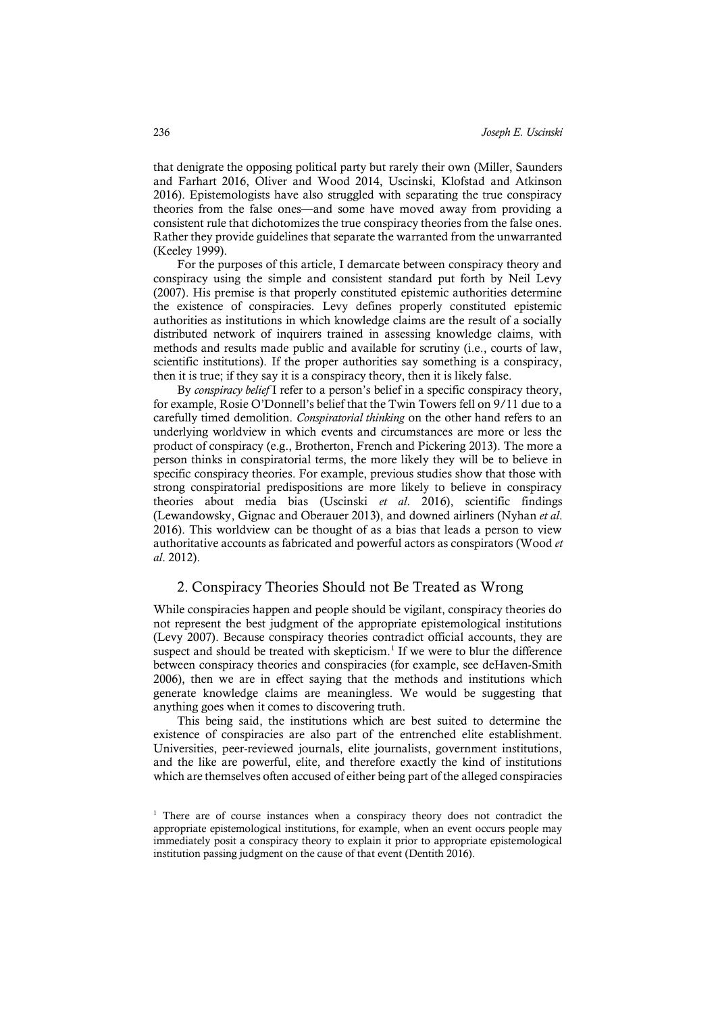that denigrate the opposing political party but rarely their own (Miller, Saunders and Farhart 2016, Oliver and Wood 2014, Uscinski, Klofstad and Atkinson 2016). Epistemologists have also struggled with separating the true conspiracy theories from the false ones—and some have moved away from providing a consistent rule that dichotomizes the true conspiracy theories from the false ones. Rather they provide guidelines that separate the warranted from the unwarranted (Keeley 1999).

For the purposes of this article, I demarcate between conspiracy theory and conspiracy using the simple and consistent standard put forth by Neil Levy (2007). His premise is that properly constituted epistemic authorities determine the existence of conspiracies. Levy defines properly constituted epistemic authorities as institutions in which knowledge claims are the result of a socially distributed network of inquirers trained in assessing knowledge claims, with methods and results made public and available for scrutiny (i.e., courts of law, scientific institutions). If the proper authorities say something is a conspiracy, then it is true; if they say it is a conspiracy theory, then it is likely false.

By *conspiracy belief* I refer to a person's belief in a specific conspiracy theory, for example, Rosie O'Donnell's belief that the Twin Towers fell on 9/11 due to a carefully timed demolition. *Conspiratorial thinking* on the other hand refers to an underlying worldview in which events and circumstances are more or less the product of conspiracy (e.g., Brotherton, French and Pickering 2013). The more a person thinks in conspiratorial terms, the more likely they will be to believe in specific conspiracy theories. For example, previous studies show that those with strong conspiratorial predispositions are more likely to believe in conspiracy theories about media bias (Uscinski *et al*. 2016), scientific findings (Lewandowsky, Gignac and Oberauer 2013), and downed airliners (Nyhan *et al*. 2016). This worldview can be thought of as a bias that leads a person to view authoritative accounts as fabricated and powerful actors as conspirators (Wood *et al*. 2012).

### 2. Conspiracy Theories Should not Be Treated as Wrong

While conspiracies happen and people should be vigilant, conspiracy theories do not represent the best judgment of the appropriate epistemological institutions (Levy 2007). Because conspiracy theories contradict official accounts, they are suspect and should be treated with skepticism.<sup>1</sup> If we were to blur the difference between conspiracy theories and conspiracies (for example, see deHaven-Smith 2006), then we are in effect saying that the methods and institutions which generate knowledge claims are meaningless. We would be suggesting that anything goes when it comes to discovering truth.

This being said, the institutions which are best suited to determine the existence of conspiracies are also part of the entrenched elite establishment. Universities, peer-reviewed journals, elite journalists, government institutions, and the like are powerful, elite, and therefore exactly the kind of institutions which are themselves often accused of either being part of the alleged conspiracies

<sup>&</sup>lt;sup>1</sup> There are of course instances when a conspiracy theory does not contradict the appropriate epistemological institutions, for example, when an event occurs people may immediately posit a conspiracy theory to explain it prior to appropriate epistemological institution passing judgment on the cause of that event (Dentith 2016).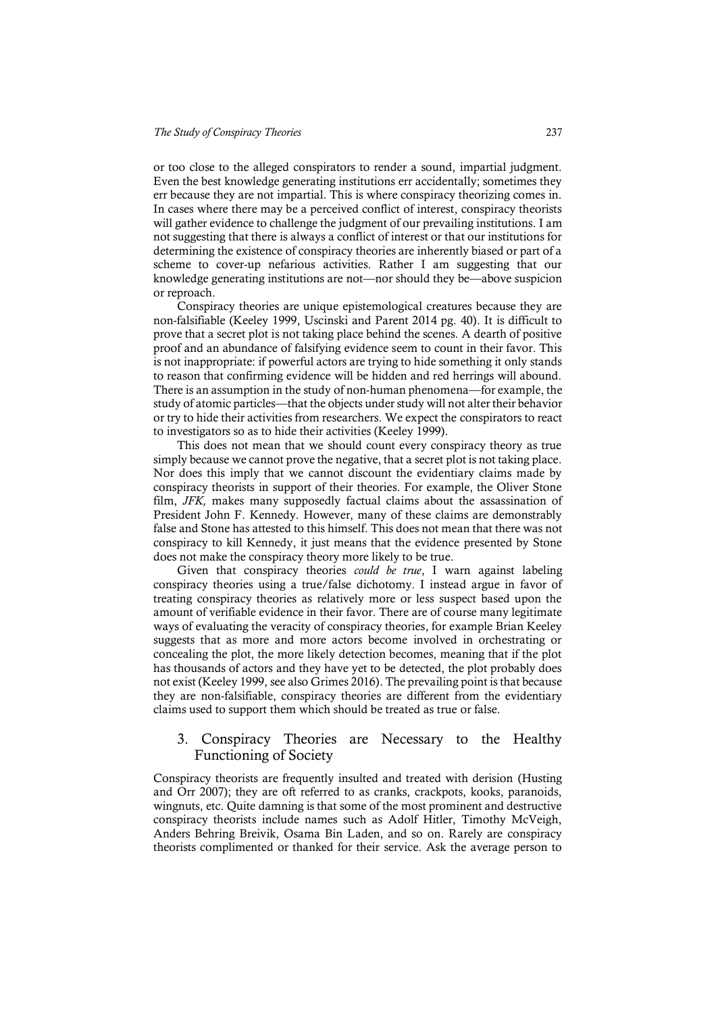or too close to the alleged conspirators to render a sound, impartial judgment. Even the best knowledge generating institutions err accidentally; sometimes they err because they are not impartial. This is where conspiracy theorizing comes in. In cases where there may be a perceived conflict of interest, conspiracy theorists will gather evidence to challenge the judgment of our prevailing institutions. I am not suggesting that there is always a conflict of interest or that our institutions for determining the existence of conspiracy theories are inherently biased or part of a scheme to cover-up nefarious activities. Rather I am suggesting that our knowledge generating institutions are not—nor should they be—above suspicion or reproach.

Conspiracy theories are unique epistemological creatures because they are non-falsifiable (Keeley 1999, Uscinski and Parent 2014 pg. 40). It is difficult to prove that a secret plot is not taking place behind the scenes. A dearth of positive proof and an abundance of falsifying evidence seem to count in their favor. This is not inappropriate: if powerful actors are trying to hide something it only stands to reason that confirming evidence will be hidden and red herrings will abound. There is an assumption in the study of non-human phenomena—for example, the study of atomic particles—that the objects under study will not alter their behavior or try to hide their activities from researchers. We expect the conspirators to react to investigators so as to hide their activities (Keeley 1999).

This does not mean that we should count every conspiracy theory as true simply because we cannot prove the negative, that a secret plot is not taking place. Nor does this imply that we cannot discount the evidentiary claims made by conspiracy theorists in support of their theories. For example, the Oliver Stone film, *JFK,* makes many supposedly factual claims about the assassination of President John F. Kennedy. However, many of these claims are demonstrably false and Stone has attested to this himself. This does not mean that there was not conspiracy to kill Kennedy, it just means that the evidence presented by Stone does not make the conspiracy theory more likely to be true.

Given that conspiracy theories *could be true*, I warn against labeling conspiracy theories using a true/false dichotomy. I instead argue in favor of treating conspiracy theories as relatively more or less suspect based upon the amount of verifiable evidence in their favor. There are of course many legitimate ways of evaluating the veracity of conspiracy theories, for example Brian Keeley suggests that as more and more actors become involved in orchestrating or concealing the plot, the more likely detection becomes, meaning that if the plot has thousands of actors and they have yet to be detected, the plot probably does not exist (Keeley 1999, see also Grimes 2016). The prevailing point is that because they are non-falsifiable, conspiracy theories are different from the evidentiary claims used to support them which should be treated as true or false.

## 3. Conspiracy Theories are Necessary to the Healthy Functioning of Society

Conspiracy theorists are frequently insulted and treated with derision (Husting and Orr 2007); they are oft referred to as cranks, crackpots, kooks, paranoids, wingnuts, etc. Quite damning is that some of the most prominent and destructive conspiracy theorists include names such as Adolf Hitler, Timothy McVeigh, Anders Behring Breivik, Osama Bin Laden, and so on. Rarely are conspiracy theorists complimented or thanked for their service. Ask the average person to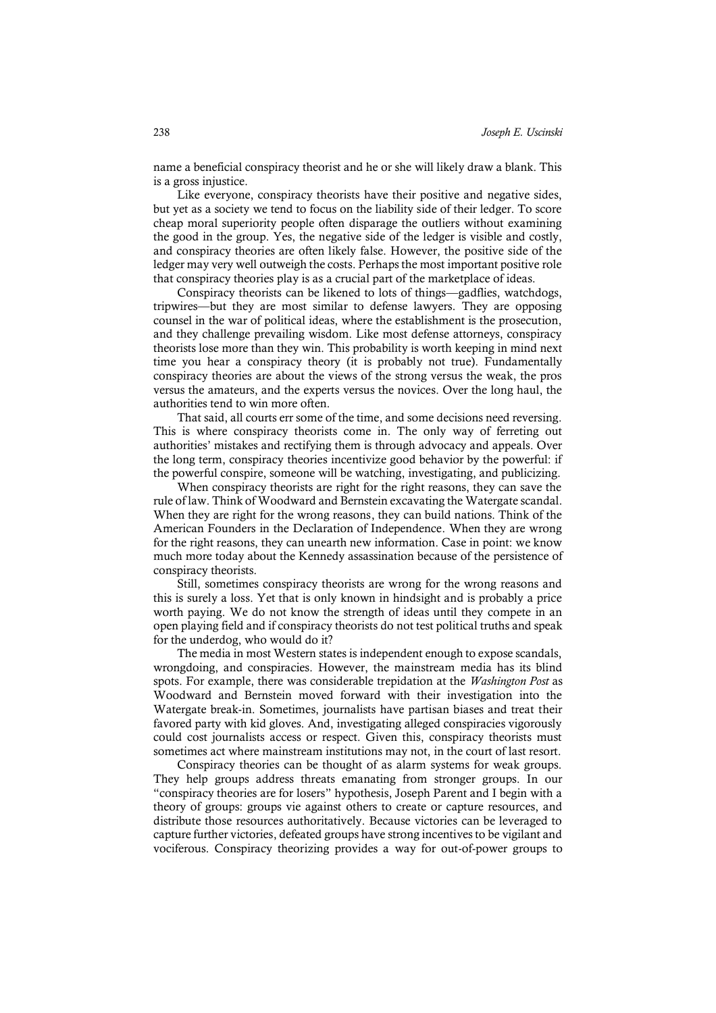name a beneficial conspiracy theorist and he or she will likely draw a blank. This is a gross injustice.

Like everyone, conspiracy theorists have their positive and negative sides, but yet as a society we tend to focus on the liability side of their ledger. To score cheap moral superiority people often disparage the outliers without examining the good in the group. Yes, the negative side of the ledger is visible and costly, and conspiracy theories are often likely false. However, the positive side of the ledger may very well outweigh the costs. Perhaps the most important positive role that conspiracy theories play is as a crucial part of the marketplace of ideas.

Conspiracy theorists can be likened to lots of things—gadflies, watchdogs, tripwires—but they are most similar to defense lawyers. They are opposing counsel in the war of political ideas, where the establishment is the prosecution, and they challenge prevailing wisdom. Like most defense attorneys, conspiracy theorists lose more than they win. This probability is worth keeping in mind next time you hear a conspiracy theory (it is probably not true). Fundamentally conspiracy theories are about the views of the strong versus the weak, the pros versus the amateurs, and the experts versus the novices. Over the long haul, the authorities tend to win more often.

That said, all courts err some of the time, and some decisions need reversing. This is where conspiracy theorists come in. The only way of ferreting out authorities' mistakes and rectifying them is through advocacy and appeals. Over the long term, conspiracy theories incentivize good behavior by the powerful: if the powerful conspire, someone will be watching, investigating, and publicizing.

When conspiracy theorists are right for the right reasons, they can save the rule of law. Think of Woodward and Bernstein excavating the Watergate scandal. When they are right for the wrong reasons, they can build nations. Think of the American Founders in the Declaration of Independence. When they are wrong for the right reasons, they can unearth new information. Case in point: we know much more today about the Kennedy assassination because of the persistence of conspiracy theorists.

Still, sometimes conspiracy theorists are wrong for the wrong reasons and this is surely a loss. Yet that is only known in hindsight and is probably a price worth paying. We do not know the strength of ideas until they compete in an open playing field and if conspiracy theorists do not test political truths and speak for the underdog, who would do it?

The media in most Western states is independent enough to expose scandals, wrongdoing, and conspiracies. However, the mainstream media has its blind spots. For example, there was considerable trepidation at the *Washington Post* as Woodward and Bernstein moved forward with their investigation into the Watergate break-in. Sometimes, journalists have partisan biases and treat their favored party with kid gloves. And, investigating alleged conspiracies vigorously could cost journalists access or respect. Given this, conspiracy theorists must sometimes act where mainstream institutions may not, in the court of last resort.

Conspiracy theories can be thought of as alarm systems for weak groups. They help groups address threats emanating from stronger groups. In our "conspiracy theories are for losers" hypothesis, Joseph Parent and I begin with a theory of groups: groups vie against others to create or capture resources, and distribute those resources authoritatively. Because victories can be leveraged to capture further victories, defeated groups have strong incentives to be vigilant and vociferous. Conspiracy theorizing provides a way for out-of-power groups to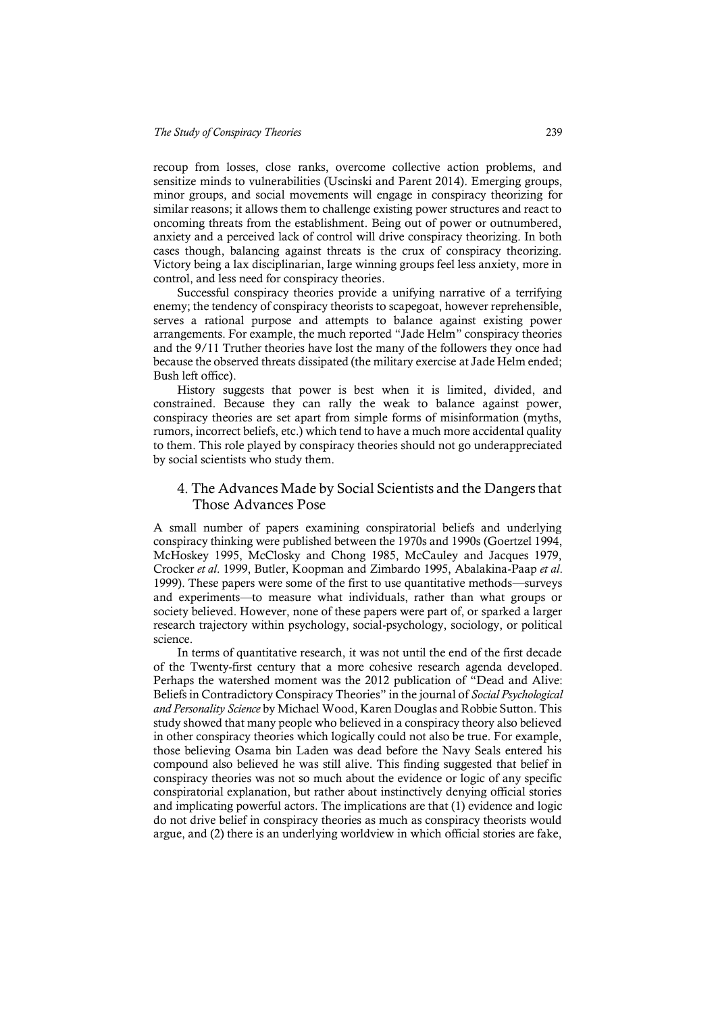recoup from losses, close ranks, overcome collective action problems, and sensitize minds to vulnerabilities (Uscinski and Parent 2014). Emerging groups, minor groups, and social movements will engage in conspiracy theorizing for similar reasons; it allows them to challenge existing power structures and react to oncoming threats from the establishment. Being out of power or outnumbered, anxiety and a perceived lack of control will drive conspiracy theorizing. In both cases though, balancing against threats is the crux of conspiracy theorizing. Victory being a lax disciplinarian, large winning groups feel less anxiety, more in control, and less need for conspiracy theories.

Successful conspiracy theories provide a unifying narrative of a terrifying enemy; the tendency of conspiracy theorists to scapegoat, however reprehensible, serves a rational purpose and attempts to balance against existing power arrangements. For example, the much reported "Jade Helm" conspiracy theories and the 9/11 Truther theories have lost the many of the followers they once had because the observed threats dissipated (the military exercise at Jade Helm ended; Bush left office).

History suggests that power is best when it is limited, divided, and constrained. Because they can rally the weak to balance against power, conspiracy theories are set apart from simple forms of misinformation (myths, rumors, incorrect beliefs, etc.) which tend to have a much more accidental quality to them. This role played by conspiracy theories should not go underappreciated by social scientists who study them.

## 4. The Advances Made by Social Scientists and the Dangers that Those Advances Pose

A small number of papers examining conspiratorial beliefs and underlying conspiracy thinking were published between the 1970s and 1990s (Goertzel 1994, McHoskey 1995, McClosky and Chong 1985, McCauley and Jacques 1979, Crocker *et al*. 1999, Butler, Koopman and Zimbardo 1995, Abalakina-Paap *et al*. 1999). These papers were some of the first to use quantitative methods—surveys and experiments—to measure what individuals, rather than what groups or society believed. However, none of these papers were part of, or sparked a larger research trajectory within psychology, social-psychology, sociology, or political science.

In terms of quantitative research, it was not until the end of the first decade of the Twenty-first century that a more cohesive research agenda developed. Perhaps the watershed moment was the 2012 publication of "Dead and Alive: Beliefs in Contradictory Conspiracy Theories" in the journal of *Social Psychological and Personality Science* by Michael Wood, Karen Douglas and Robbie Sutton. This study showed that many people who believed in a conspiracy theory also believed in other conspiracy theories which logically could not also be true. For example, those believing Osama bin Laden was dead before the Navy Seals entered his compound also believed he was still alive. This finding suggested that belief in conspiracy theories was not so much about the evidence or logic of any specific conspiratorial explanation, but rather about instinctively denying official stories and implicating powerful actors. The implications are that (1) evidence and logic do not drive belief in conspiracy theories as much as conspiracy theorists would argue, and (2) there is an underlying worldview in which official stories are fake,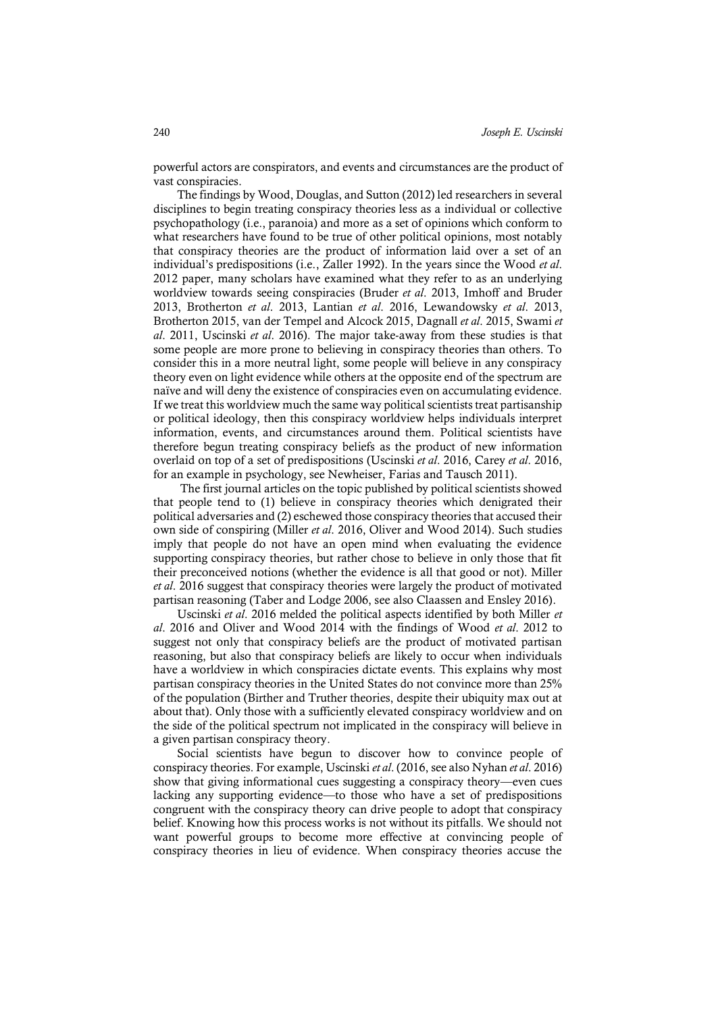powerful actors are conspirators, and events and circumstances are the product of vast conspiracies.

The findings by Wood, Douglas, and Sutton (2012) led researchers in several disciplines to begin treating conspiracy theories less as a individual or collective psychopathology (i.e., paranoia) and more as a set of opinions which conform to what researchers have found to be true of other political opinions, most notably that conspiracy theories are the product of information laid over a set of an individual's predispositions (i.e., Zaller 1992). In the years since the Wood *et al*. 2012 paper, many scholars have examined what they refer to as an underlying worldview towards seeing conspiracies (Bruder *et al*. 2013, Imhoff and Bruder 2013, Brotherton *et al*. 2013, Lantian *et al*. 2016, Lewandowsky *et al*. 2013, Brotherton 2015, van der Tempel and Alcock 2015, Dagnall *et al*. 2015, Swami *et al*. 2011, Uscinski *et al*. 2016). The major take-away from these studies is that some people are more prone to believing in conspiracy theories than others. To consider this in a more neutral light, some people will believe in any conspiracy theory even on light evidence while others at the opposite end of the spectrum are naïve and will deny the existence of conspiracies even on accumulating evidence. If we treat this worldview much the same way political scientists treat partisanship or political ideology, then this conspiracy worldview helps individuals interpret information, events, and circumstances around them. Political scientists have therefore begun treating conspiracy beliefs as the product of new information overlaid on top of a set of predispositions (Uscinski *et al*. 2016, Carey *et al*. 2016, for an example in psychology, see Newheiser, Farias and Tausch 2011).

The first journal articles on the topic published by political scientists showed that people tend to (1) believe in conspiracy theories which denigrated their political adversaries and (2) eschewed those conspiracy theories that accused their own side of conspiring (Miller *et al*. 2016, Oliver and Wood 2014). Such studies imply that people do not have an open mind when evaluating the evidence supporting conspiracy theories, but rather chose to believe in only those that fit their preconceived notions (whether the evidence is all that good or not). Miller *et al*. 2016 suggest that conspiracy theories were largely the product of motivated partisan reasoning (Taber and Lodge 2006, see also Claassen and Ensley 2016).

Uscinski *et al*. 2016 melded the political aspects identified by both Miller *et al*. 2016 and Oliver and Wood 2014 with the findings of Wood *et al*. 2012 to suggest not only that conspiracy beliefs are the product of motivated partisan reasoning, but also that conspiracy beliefs are likely to occur when individuals have a worldview in which conspiracies dictate events. This explains why most partisan conspiracy theories in the United States do not convince more than 25% of the population (Birther and Truther theories, despite their ubiquity max out at about that). Only those with a sufficiently elevated conspiracy worldview and on the side of the political spectrum not implicated in the conspiracy will believe in a given partisan conspiracy theory.

Social scientists have begun to discover how to convince people of conspiracy theories. For example, Uscinski *et al*. (2016, see also Nyhan *et al*. 2016) show that giving informational cues suggesting a conspiracy theory—even cues lacking any supporting evidence—to those who have a set of predispositions congruent with the conspiracy theory can drive people to adopt that conspiracy belief. Knowing how this process works is not without its pitfalls. We should not want powerful groups to become more effective at convincing people of conspiracy theories in lieu of evidence. When conspiracy theories accuse the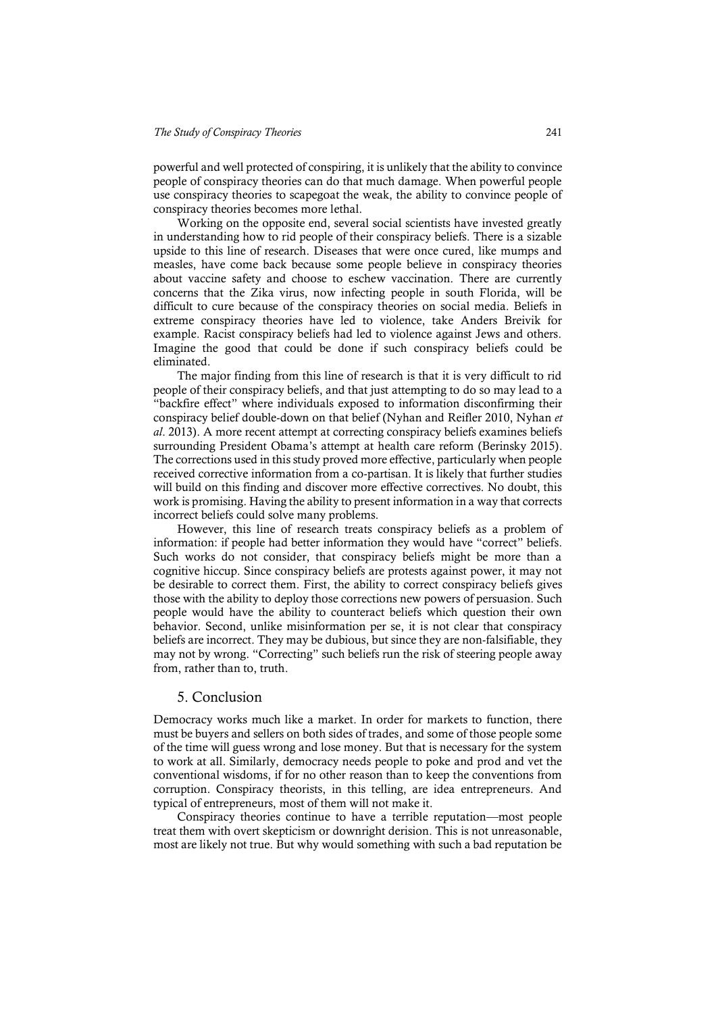powerful and well protected of conspiring, it is unlikely that the ability to convince people of conspiracy theories can do that much damage. When powerful people use conspiracy theories to scapegoat the weak, the ability to convince people of conspiracy theories becomes more lethal.

Working on the opposite end, several social scientists have invested greatly in understanding how to rid people of their conspiracy beliefs. There is a sizable upside to this line of research. Diseases that were once cured, like mumps and measles, have come back because some people believe in conspiracy theories about vaccine safety and choose to eschew vaccination. There are currently concerns that the Zika virus, now infecting people in south Florida, will be difficult to cure because of the conspiracy theories on social media. Beliefs in extreme conspiracy theories have led to violence, take Anders Breivik for example. Racist conspiracy beliefs had led to violence against Jews and others. Imagine the good that could be done if such conspiracy beliefs could be eliminated.

The major finding from this line of research is that it is very difficult to rid people of their conspiracy beliefs, and that just attempting to do so may lead to a "backfire effect" where individuals exposed to information disconfirming their conspiracy belief double-down on that belief (Nyhan and Reifler 2010, Nyhan *et al*. 2013). A more recent attempt at correcting conspiracy beliefs examines beliefs surrounding President Obama's attempt at health care reform (Berinsky 2015). The corrections used in this study proved more effective, particularly when people received corrective information from a co-partisan. It is likely that further studies will build on this finding and discover more effective correctives. No doubt, this work is promising. Having the ability to present information in a way that corrects incorrect beliefs could solve many problems.

However, this line of research treats conspiracy beliefs as a problem of information: if people had better information they would have "correct" beliefs. Such works do not consider, that conspiracy beliefs might be more than a cognitive hiccup. Since conspiracy beliefs are protests against power, it may not be desirable to correct them. First, the ability to correct conspiracy beliefs gives those with the ability to deploy those corrections new powers of persuasion. Such people would have the ability to counteract beliefs which question their own behavior. Second, unlike misinformation per se, it is not clear that conspiracy beliefs are incorrect. They may be dubious, but since they are non-falsifiable, they may not by wrong. "Correcting" such beliefs run the risk of steering people away from, rather than to, truth.

#### 5. Conclusion

Democracy works much like a market. In order for markets to function, there must be buyers and sellers on both sides of trades, and some of those people some of the time will guess wrong and lose money. But that is necessary for the system to work at all. Similarly, democracy needs people to poke and prod and vet the conventional wisdoms, if for no other reason than to keep the conventions from corruption. Conspiracy theorists, in this telling, are idea entrepreneurs. And typical of entrepreneurs, most of them will not make it.

Conspiracy theories continue to have a terrible reputation—most people treat them with overt skepticism or downright derision. This is not unreasonable, most are likely not true. But why would something with such a bad reputation be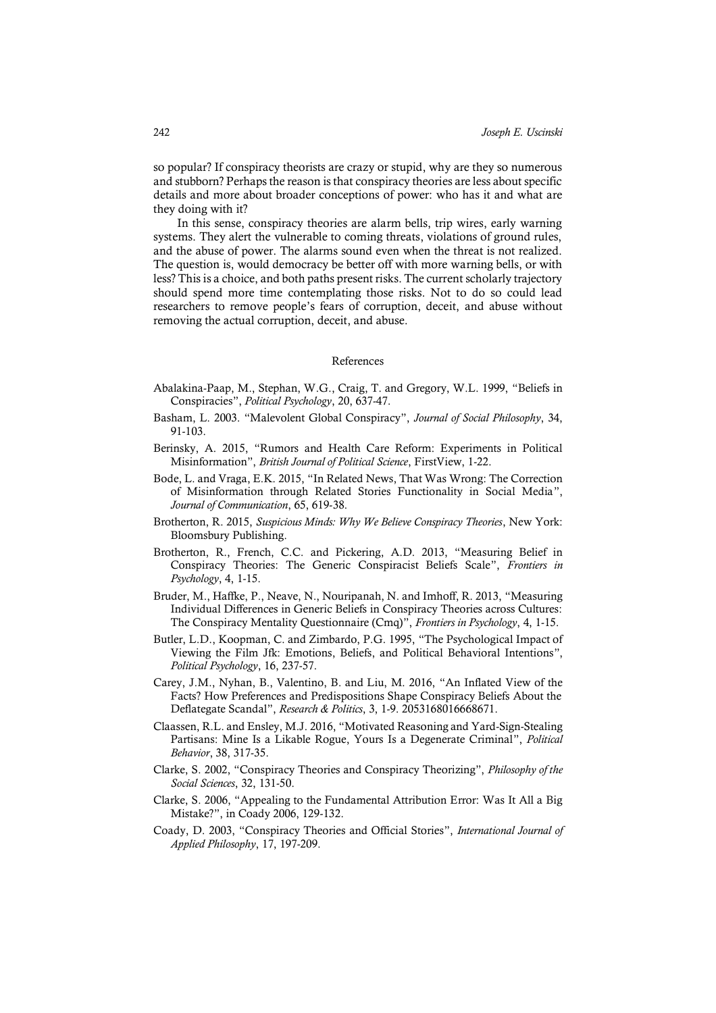so popular? If conspiracy theorists are crazy or stupid, why are they so numerous and stubborn? Perhaps the reason is that conspiracy theories are less about specific details and more about broader conceptions of power: who has it and what are they doing with it?

In this sense, conspiracy theories are alarm bells, trip wires, early warning systems. They alert the vulnerable to coming threats, violations of ground rules, and the abuse of power. The alarms sound even when the threat is not realized. The question is, would democracy be better off with more warning bells, or with less? This is a choice, and both paths present risks. The current scholarly trajectory should spend more time contemplating those risks. Not to do so could lead researchers to remove people's fears of corruption, deceit, and abuse without removing the actual corruption, deceit, and abuse.

#### References

- Abalakina-Paap, M., Stephan, W.G., Craig, T. and Gregory, W.L. 1999, "Beliefs in Conspiracies", *Political Psychology*, 20, 637-47.
- Basham, L. 2003. "Malevolent Global Conspiracy", *Journal of Social Philosophy*, 34, 91-103.
- Berinsky, A. 2015, "Rumors and Health Care Reform: Experiments in Political Misinformation", *British Journal of Political Science*, FirstView, 1-22.
- Bode, L. and Vraga, E.K. 2015, "In Related News, That Was Wrong: The Correction of Misinformation through Related Stories Functionality in Social Media", *Journal of Communication*, 65, 619-38.
- Brotherton, R. 2015, *Suspicious Minds: Why We Believe Conspiracy Theories*, New York: Bloomsbury Publishing.
- Brotherton, R., French, C.C. and Pickering, A.D. 2013, "Measuring Belief in Conspiracy Theories: The Generic Conspiracist Beliefs Scale", *Frontiers in Psychology*, 4, 1-15.
- Bruder, M., Haffke, P., Neave, N., Nouripanah, N. and Imhoff, R. 2013, "Measuring Individual Differences in Generic Beliefs in Conspiracy Theories across Cultures: The Conspiracy Mentality Questionnaire (Cmq)", *Frontiers in Psychology*, 4, 1-15.
- Butler, L.D., Koopman, C. and Zimbardo, P.G. 1995, "The Psychological Impact of Viewing the Film Jfk: Emotions, Beliefs, and Political Behavioral Intentions", *Political Psychology*, 16, 237-57.
- Carey, J.M., Nyhan, B., Valentino, B. and Liu, M. 2016, "An Inflated View of the Facts? How Preferences and Predispositions Shape Conspiracy Beliefs About the Deflategate Scandal", *Research & Politics*, 3, 1-9. 2053168016668671.
- Claassen, R.L. and Ensley, M.J. 2016, "Motivated Reasoning and Yard-Sign-Stealing Partisans: Mine Is a Likable Rogue, Yours Is a Degenerate Criminal", *Political Behavior*, 38, 317-35.
- Clarke, S. 2002, "Conspiracy Theories and Conspiracy Theorizing", *Philosophy of the Social Sciences*, 32, 131-50.
- Clarke, S. 2006, "Appealing to the Fundamental Attribution Error: Was It All a Big Mistake?", in Coady 2006, 129-132.
- Coady, D. 2003, "Conspiracy Theories and Official Stories", *International Journal of Applied Philosophy*, 17, 197-209.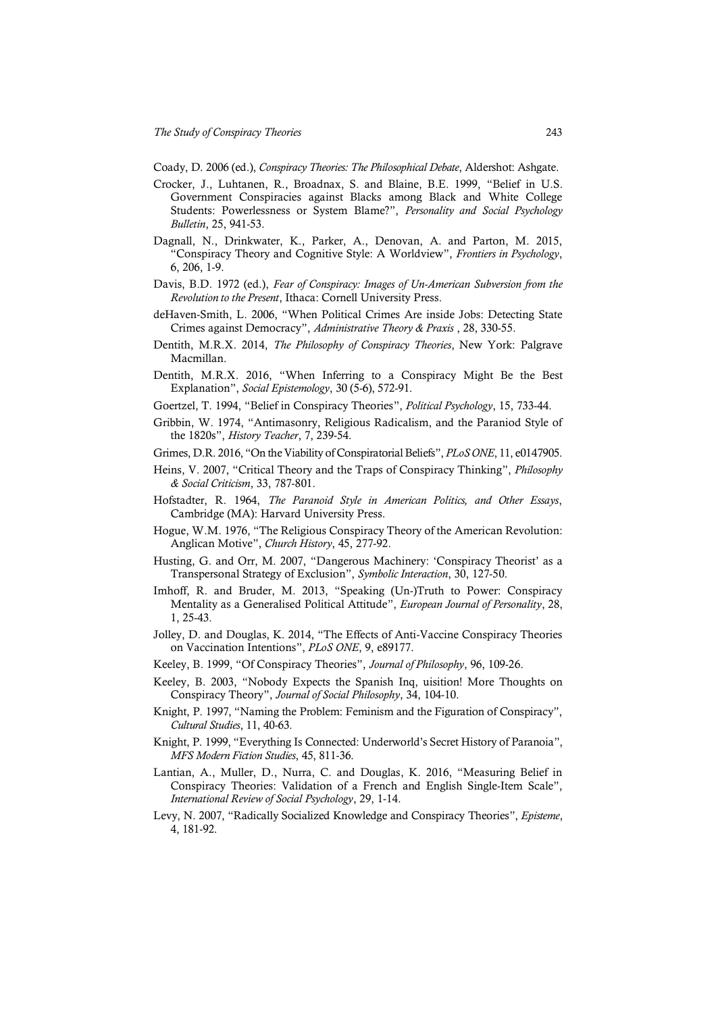Coady, D. 2006 (ed.), *Conspiracy Theories: The Philosophical Debate*, Aldershot: Ashgate.

- Crocker, J., Luhtanen, R., Broadnax, S. and Blaine, B.E. 1999, "Belief in U.S. Government Conspiracies against Blacks among Black and White College Students: Powerlessness or System Blame?", *Personality and Social Psychology Bulletin*, 25, 941-53.
- Dagnall, N., Drinkwater, K., Parker, A., Denovan, A. and Parton, M. 2015, "Conspiracy Theory and Cognitive Style: A Worldview", *Frontiers in Psychology*, 6, 206, 1-9.
- Davis, B.D. 1972 (ed.), *Fear of Conspiracy: Images of Un-American Subversion from the Revolution to the Present*, Ithaca: Cornell University Press.
- deHaven-Smith, L. 2006, "When Political Crimes Are inside Jobs: Detecting State Crimes against Democracy", *Administrative Theory & Praxis* , 28, 330-55.
- Dentith, M.R.X. 2014, *The Philosophy of Conspiracy Theories*, New York: Palgrave Macmillan.
- Dentith, M.R.X. 2016, "When Inferring to a Conspiracy Might Be the Best Explanation", *Social Epistemology*, 30 (5-6), 572-91.
- Goertzel, T. 1994, "Belief in Conspiracy Theories", *Political Psychology*, 15, 733-44.
- Gribbin, W. 1974, "Antimasonry, Religious Radicalism, and the Paraniod Style of the 1820s", *History Teacher*, 7, 239-54.
- Grimes, D.R. 2016, "On the Viability of Conspiratorial Beliefs", *PLoS ONE*, 11, e0147905.
- Heins, V. 2007, "Critical Theory and the Traps of Conspiracy Thinking", *Philosophy & Social Criticism*, 33, 787-801.
- Hofstadter, R. 1964, *The Paranoid Style in American Politics, and Other Essays*, Cambridge (MA): Harvard University Press.
- Hogue, W.M. 1976, "The Religious Conspiracy Theory of the American Revolution: Anglican Motive", *Church History*, 45, 277-92.
- Husting, G. and Orr, M. 2007, "Dangerous Machinery: 'Conspiracy Theorist' as a Transpersonal Strategy of Exclusion", *Symbolic Interaction*, 30, 127-50.
- Imhoff, R. and Bruder, M. 2013, "Speaking (Un-)Truth to Power: Conspiracy Mentality as a Generalised Political Attitude", *European Journal of Personality*, 28, 1, 25-43.
- Jolley, D. and Douglas, K. 2014, "The Effects of Anti-Vaccine Conspiracy Theories on Vaccination Intentions", *PLoS ONE*, 9, e89177.
- Keeley, B. 1999, "Of Conspiracy Theories", *Journal of Philosophy*, 96, 109-26.
- Keeley, B. 2003, "Nobody Expects the Spanish Inq, uisition! More Thoughts on Conspiracy Theory", *Journal of Social Philosophy*, 34, 104-10.
- Knight, P. 1997, "Naming the Problem: Feminism and the Figuration of Conspiracy", *Cultural Studies*, 11, 40-63.
- Knight, P. 1999, "Everything Is Connected: Underworld's Secret History of Paranoia", *MFS Modern Fiction Studies*, 45, 811-36.
- Lantian, A., Muller, D., Nurra, C. and Douglas, K. 2016, "Measuring Belief in Conspiracy Theories: Validation of a French and English Single-Item Scale", *International Review of Social Psychology*, 29, 1-14.
- Levy, N. 2007, "Radically Socialized Knowledge and Conspiracy Theories", *Episteme*, 4, 181-92.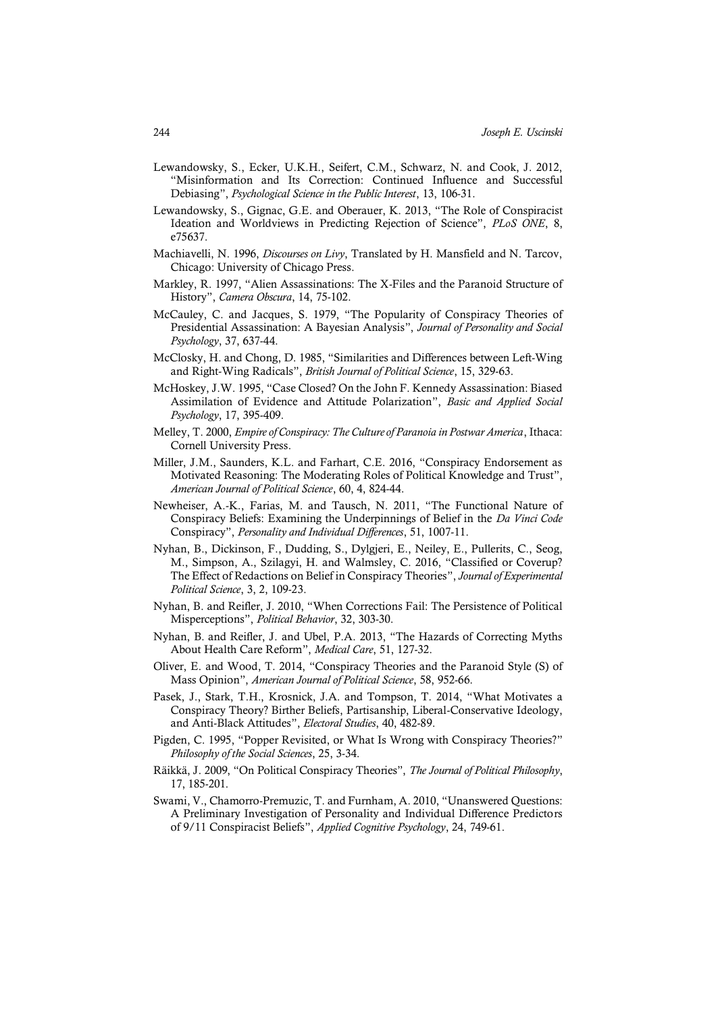- Lewandowsky, S., Ecker, U.K.H., Seifert, C.M., Schwarz, N. and Cook, J. 2012, "Misinformation and Its Correction: Continued Influence and Successful Debiasing", *Psychological Science in the Public Interest*, 13, 106-31.
- Lewandowsky, S., Gignac, G.E. and Oberauer, K. 2013, "The Role of Conspiracist Ideation and Worldviews in Predicting Rejection of Science", *PLoS ONE*, 8, e75637.
- Machiavelli, N. 1996, *Discourses on Livy*, Translated by H. Mansfield and N. Tarcov, Chicago: University of Chicago Press.
- Markley, R. 1997, "Alien Assassinations: The X-Files and the Paranoid Structure of History", *Camera Obscura*, 14, 75-102.
- McCauley, C. and Jacques, S. 1979, "The Popularity of Conspiracy Theories of Presidential Assassination: A Bayesian Analysis", *Journal of Personality and Social Psychology*, 37, 637-44.
- McClosky, H. and Chong, D. 1985, "Similarities and Differences between Left-Wing and Right-Wing Radicals", *British Journal of Political Science*, 15, 329-63.
- McHoskey, J.W. 1995, "Case Closed? On the John F. Kennedy Assassination: Biased Assimilation of Evidence and Attitude Polarization", *Basic and Applied Social Psychology*, 17, 395-409.
- Melley, T. 2000, *Empire of Conspiracy: The Culture of Paranoia in Postwar America*, Ithaca: Cornell University Press.
- Miller, J.M., Saunders, K.L. and Farhart, C.E. 2016, "Conspiracy Endorsement as Motivated Reasoning: The Moderating Roles of Political Knowledge and Trust", *American Journal of Political Science*, 60, 4, 824-44.
- Newheiser, A.-K., Farias, M. and Tausch, N. 2011, "The Functional Nature of Conspiracy Beliefs: Examining the Underpinnings of Belief in the *Da Vinci Code* Conspiracy", *Personality and Individual Differences*, 51, 1007-11.
- Nyhan, B., Dickinson, F., Dudding, S., Dylgjeri, E., Neiley, E., Pullerits, C., Seog, M., Simpson, A., Szilagyi, H. and Walmsley, C. 2016, "Classified or Coverup? The Effect of Redactions on Belief in Conspiracy Theories", *Journal of Experimental Political Science*, 3, 2, 109-23.
- Nyhan, B. and Reifler, J. 2010, "When Corrections Fail: The Persistence of Political Misperceptions", *Political Behavior*, 32, 303-30.
- Nyhan, B. and Reifler, J. and Ubel, P.A. 2013, "The Hazards of Correcting Myths About Health Care Reform", *Medical Care*, 51, 127-32.
- Oliver, E. and Wood, T. 2014, "Conspiracy Theories and the Paranoid Style (S) of Mass Opinion", *American Journal of Political Science*, 58, 952-66.
- Pasek, J., Stark, T.H., Krosnick, J.A. and Tompson, T. 2014, "What Motivates a Conspiracy Theory? Birther Beliefs, Partisanship, Liberal-Conservative Ideology, and Anti-Black Attitudes", *Electoral Studies*, 40, 482-89.
- Pigden, C. 1995, "Popper Revisited, or What Is Wrong with Conspiracy Theories?" *Philosophy of the Social Sciences*, 25, 3-34.
- Räikkä, J. 2009, "On Political Conspiracy Theories", *The Journal of Political Philosophy*, 17, 185-201.
- Swami, V., Chamorro-Premuzic, T. and Furnham, A. 2010, "Unanswered Questions: A Preliminary Investigation of Personality and Individual Difference Predictors of 9/11 Conspiracist Beliefs", *Applied Cognitive Psychology*, 24, 749-61.